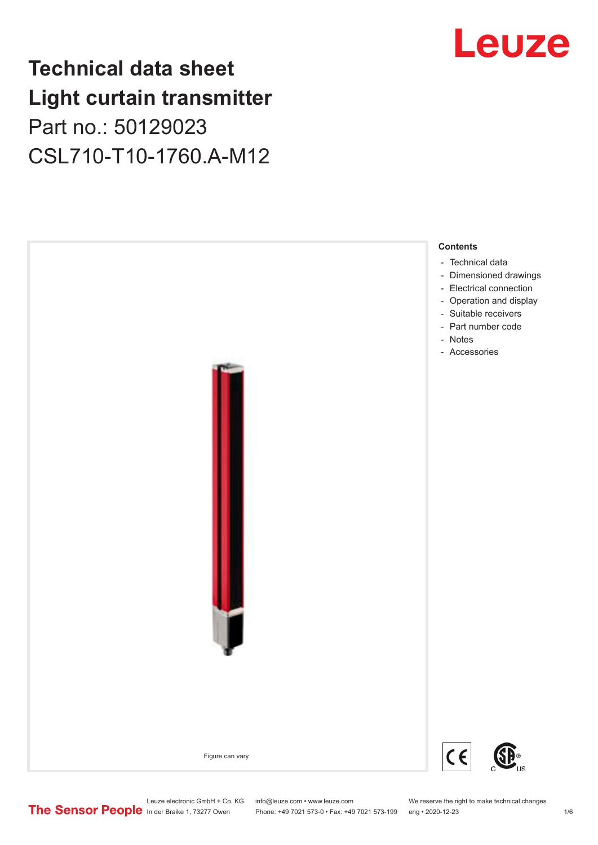## **Technical data sheet Light curtain transmitter** Part no.: 50129023 CSL710-T10-1760.A-M12





Leuze electronic GmbH + Co. KG info@leuze.com • www.leuze.com We reserve the right to make technical changes<br>
The Sensor People in der Braike 1, 73277 Owen Phone: +49 7021 573-0 • Fax: +49 7021 573-199 eng • 2020-12-23

Phone: +49 7021 573-0 • Fax: +49 7021 573-199 eng • 2020-12-23 1 76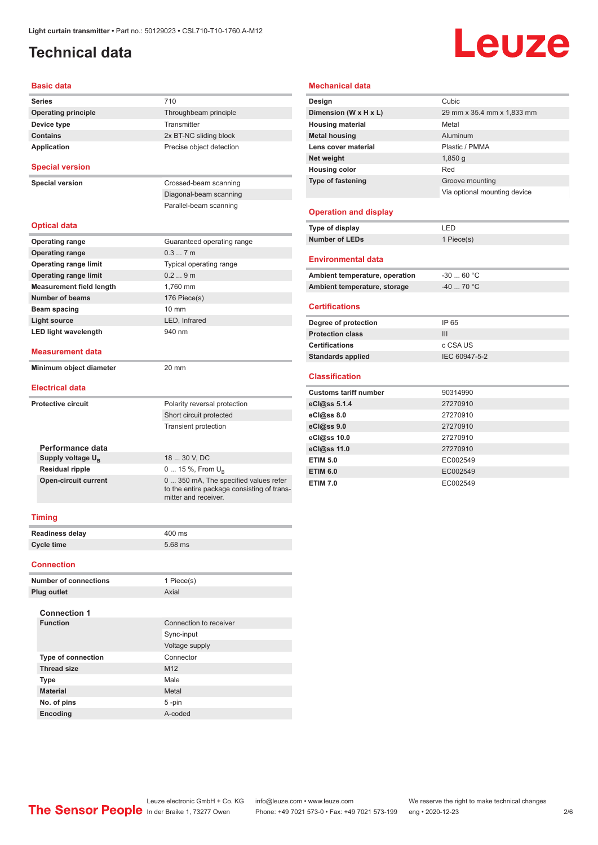## <span id="page-1-0"></span>**Technical data**

# Leuze

#### **Basic data**

| <b>Series</b>                   | 710                                                                                                         |
|---------------------------------|-------------------------------------------------------------------------------------------------------------|
| <b>Operating principle</b>      | Throughbeam principle                                                                                       |
| Device type                     | Transmitter                                                                                                 |
| <b>Contains</b>                 | 2x BT-NC sliding block                                                                                      |
| Application                     | Precise object detection                                                                                    |
| <b>Special version</b>          |                                                                                                             |
| <b>Special version</b>          | Crossed-beam scanning                                                                                       |
|                                 | Diagonal-beam scanning                                                                                      |
|                                 | Parallel-beam scanning                                                                                      |
| <b>Optical data</b>             |                                                                                                             |
| <b>Operating range</b>          | Guaranteed operating range                                                                                  |
| <b>Operating range</b>          | 0.37m                                                                                                       |
| <b>Operating range limit</b>    | Typical operating range                                                                                     |
| <b>Operating range limit</b>    | 0.29m                                                                                                       |
| <b>Measurement field length</b> | 1.760 mm                                                                                                    |
| <b>Number of beams</b>          | 176 Piece(s)                                                                                                |
| <b>Beam spacing</b>             | $10 \text{ mm}$                                                                                             |
| <b>Light source</b>             | LED, Infrared                                                                                               |
| <b>LED light wavelength</b>     | 940 nm                                                                                                      |
| <b>Measurement data</b>         |                                                                                                             |
| Minimum object diameter         | 20 mm                                                                                                       |
| <b>Electrical data</b>          |                                                                                                             |
| <b>Protective circuit</b>       | Polarity reversal protection                                                                                |
|                                 | Short circuit protected                                                                                     |
|                                 | <b>Transient protection</b>                                                                                 |
| Performance data                |                                                                                                             |
| Supply voltage $U_{B}$          | 18  30 V, DC                                                                                                |
| <b>Residual ripple</b>          | $0 15 \%$ , From $U_{p}$                                                                                    |
| <b>Open-circuit current</b>     | 0  350 mA, The specified values refer<br>to the entire package consisting of trans-<br>mitter and receiver. |
| <b>Timing</b>                   |                                                                                                             |
| Readiness delay                 | 400 ms                                                                                                      |
| <b>Cycle time</b>               | 5.68 ms                                                                                                     |
| <b>Connection</b>               |                                                                                                             |
|                                 |                                                                                                             |

| <b>Number of connections</b> | 1 Piece(s)             |
|------------------------------|------------------------|
| Plug outlet                  | Axial                  |
|                              |                        |
| <b>Connection 1</b>          |                        |
| <b>Function</b>              | Connection to receiver |
|                              | Sync-input             |
|                              | Voltage supply         |
| <b>Type of connection</b>    | Connector              |
| <b>Thread size</b>           | M <sub>12</sub>        |
| <b>Type</b>                  | Male                   |
| <b>Material</b>              | Metal                  |
| No. of pins                  | $5 - pin$              |
| <b>Encoding</b>              | A-coded                |

#### **Mechanical data**

| Design                         | Cubic                        |
|--------------------------------|------------------------------|
| Dimension (W x H x L)          | 29 mm x 35.4 mm x 1,833 mm   |
| <b>Housing material</b>        | Metal                        |
| <b>Metal housing</b>           | Aluminum                     |
| Lens cover material            | Plastic / PMMA               |
| Net weight                     | $1,850$ g                    |
| <b>Housing color</b>           | Red                          |
| <b>Type of fastening</b>       | Groove mounting              |
|                                | Via optional mounting device |
|                                |                              |
| <b>Operation and display</b>   |                              |
| Type of display                | LED                          |
| <b>Number of LEDs</b>          | 1 Piece(s)                   |
|                                |                              |
| <b>Environmental data</b>      |                              |
| Ambient temperature, operation | $-30$ 60 °C                  |
| Ambient temperature, storage   | $-40$ 70 °C                  |

#### **Certifications**

| Degree of protection     | IP 65         |
|--------------------------|---------------|
| <b>Protection class</b>  | Ш             |
| <b>Certifications</b>    | c CSA US      |
| <b>Standards applied</b> | IEC 60947-5-2 |
|                          |               |

#### **Classification**

| <b>Customs tariff number</b> | 90314990 |
|------------------------------|----------|
| eCl@ss 5.1.4                 | 27270910 |
| eCl@ss 8.0                   | 27270910 |
| eCl@ss 9.0                   | 27270910 |
| eCl@ss 10.0                  | 27270910 |
| eCl@ss 11.0                  | 27270910 |
| <b>ETIM 5.0</b>              | EC002549 |
| <b>ETIM 6.0</b>              | EC002549 |
| <b>ETIM 7.0</b>              | EC002549 |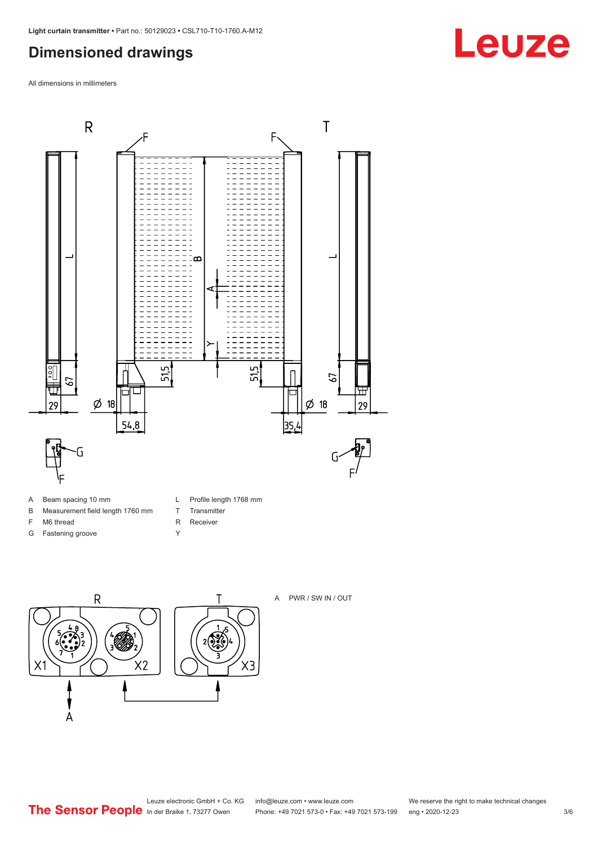## <span id="page-2-0"></span>**Dimensioned drawings**

All dimensions in millimeters



- A Beam spacing 10 mm
- B Measurement field length 1760 mm
- F M6 thread
- G Fastening groove
- L Profile length 1768 mm
- T Transmitter
- R Receiver
- Y





A PWR / SW IN / OUT

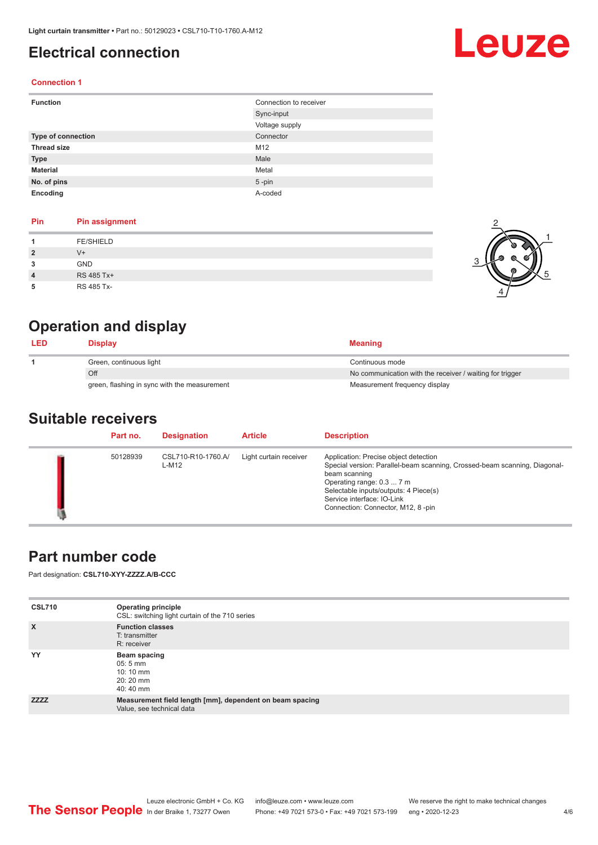## <span id="page-3-0"></span>**Electrical connection**

# Leuze

1

5

#### **Connection 1**

| <b>Function</b>           | Connection to receiver |
|---------------------------|------------------------|
|                           | Sync-input             |
|                           | Voltage supply         |
| <b>Type of connection</b> | Connector              |
| <b>Thread size</b>        | M12                    |
| <b>Type</b>               | Male                   |
| <b>Material</b>           | Metal                  |
| No. of pins               | $5$ -pin               |
| Encoding                  | A-coded                |

#### **Pin Pin assignment**

| Pin            | <b>Pin assignment</b> |  |
|----------------|-----------------------|--|
|                | <b>FE/SHIELD</b>      |  |
| $\overline{2}$ | $V +$                 |  |
| 3              | GND                   |  |
| 4              | RS 485 Tx+            |  |
| 5              | RS 485 Tx-            |  |

## **Operation and display**

| <b>LED</b> | <b>Display</b>                               | <b>Meaning</b>                                           |
|------------|----------------------------------------------|----------------------------------------------------------|
|            | Green, continuous light                      | Continuous mode                                          |
|            | Off                                          | No communication with the receiver / waiting for trigger |
|            | green, flashing in sync with the measurement | Measurement frequency display                            |

### **Suitable receivers**

| Part no. | <b>Designation</b>          | <b>Article</b>         | <b>Description</b>                                                                                                                                                                                                                                                           |
|----------|-----------------------------|------------------------|------------------------------------------------------------------------------------------------------------------------------------------------------------------------------------------------------------------------------------------------------------------------------|
| 50128939 | CSL710-R10-1760.A/<br>L-M12 | Light curtain receiver | Application: Precise object detection<br>Special version: Parallel-beam scanning, Crossed-beam scanning, Diagonal-<br>beam scanning<br>Operating range: 0.3  7 m<br>Selectable inputs/outputs: 4 Piece(s)<br>Service interface: IO-Link<br>Connection: Connector, M12, 8-pin |

## **Part number code**

Part designation: **CSL710-XYY-ZZZZ.A/B-CCC**

| <b>CSL710</b> | <b>Operating principle</b><br>CSL: switching light curtain of the 710 series          |
|---------------|---------------------------------------------------------------------------------------|
| $\mathsf{x}$  | <b>Function classes</b><br>T: transmitter<br>R: receiver                              |
| YY            | Beam spacing<br>$05:5 \, \text{mm}$<br>$10:10 \, \text{mm}$<br>$20:20$ mm<br>40:40 mm |
| <b>ZZZZ</b>   | Measurement field length [mm], dependent on beam spacing<br>Value, see technical data |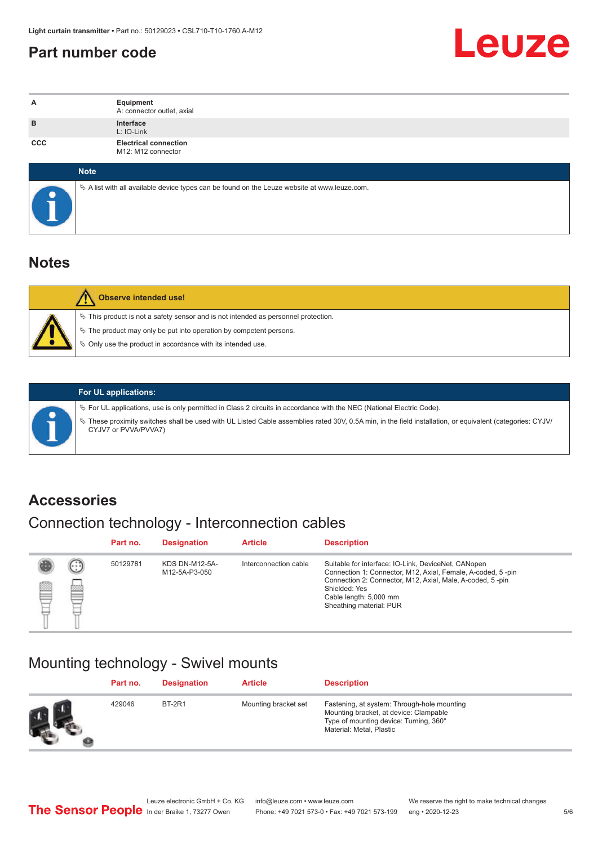## <span id="page-4-0"></span>**Part number code**



| A          | Equipment<br>A: connector outlet, axial                                                           |
|------------|---------------------------------------------------------------------------------------------------|
| B          | Interface<br>L: IO-Link                                                                           |
| <b>CCC</b> | <b>Electrical connection</b><br>M12: M12 connector                                                |
|            | Note                                                                                              |
|            | Vector A list with all available device types can be found on the Leuze website at www.leuze.com. |

## **Notes**

| <b>Observe intended use!</b>                                                                                                                                                                                                     |
|----------------------------------------------------------------------------------------------------------------------------------------------------------------------------------------------------------------------------------|
| $\%$ This product is not a safety sensor and is not intended as personnel protection.<br>$\&$ The product may only be put into operation by competent persons.<br>$\%$ Only use the product in accordance with its intended use. |

ª These proximity switches shall be used with UL Listed Cable assemblies rated 30V, 0.5A min, in the field installation, or equivalent (categories: CYJV/

ª For UL applications, use is only permitted in Class 2 circuits in accordance with the NEC (National Electric Code).

**For UL applications:**

CYJV7 or PVVA/PVVA7)

## **Accessories**

## Connection technology - Interconnection cables

|   |                              | Part no. | <b>Designation</b>                     | <b>Article</b>        | <b>Description</b>                                                                                                                                                                                                                                    |
|---|------------------------------|----------|----------------------------------------|-----------------------|-------------------------------------------------------------------------------------------------------------------------------------------------------------------------------------------------------------------------------------------------------|
| 鹵 | $\left( \ldots \right)$<br>幽 | 50129781 | <b>KDS DN-M12-5A-</b><br>M12-5A-P3-050 | Interconnection cable | Suitable for interface: IO-Link, DeviceNet, CANopen<br>Connection 1: Connector, M12, Axial, Female, A-coded, 5-pin<br>Connection 2: Connector, M12, Axial, Male, A-coded, 5-pin<br>Shielded: Yes<br>Cable length: 5,000 mm<br>Sheathing material: PUR |

## Mounting technology - Swivel mounts

| Part no. | <b>Designation</b> | <b>Article</b>       | <b>Description</b>                                                                                                                                          |
|----------|--------------------|----------------------|-------------------------------------------------------------------------------------------------------------------------------------------------------------|
| 429046   | BT-2R1             | Mounting bracket set | Fastening, at system: Through-hole mounting<br>Mounting bracket, at device: Clampable<br>Type of mounting device: Turning, 360°<br>Material: Metal, Plastic |